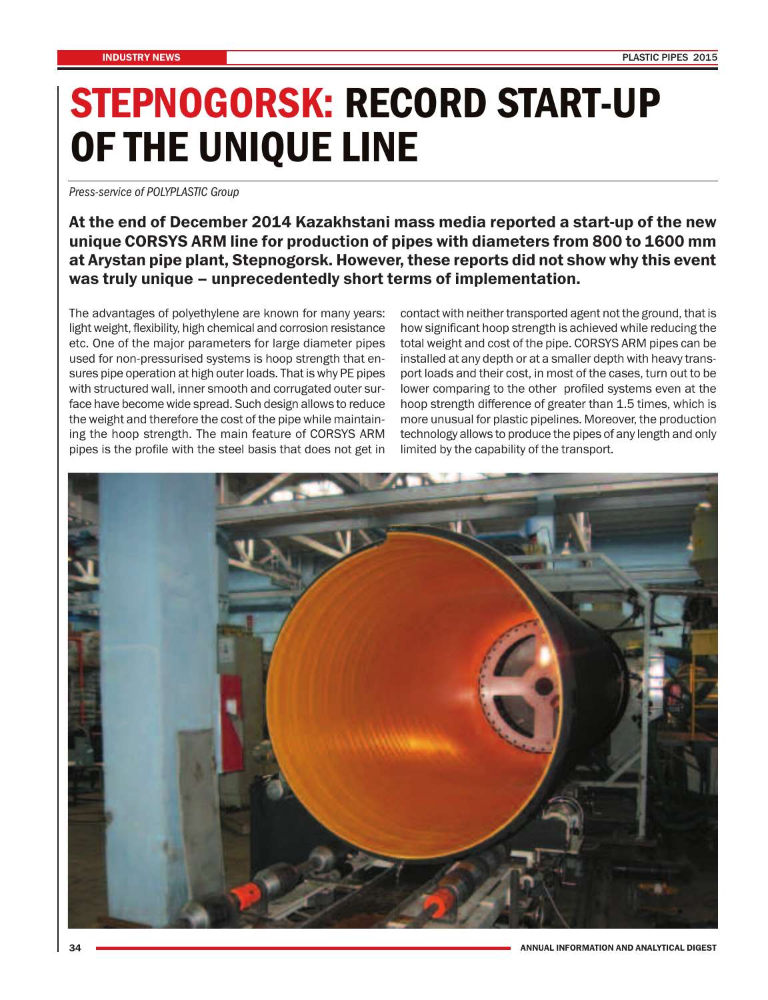## **STEPNOGORSK: RECORD START-UP OF THE UNIQUE LINE**

*Press-service of POLYPLASTIC Group*

## **At the end of December 2014 Kazakhstani mass media reported a start-up of the new unique CORSYS ARM line for production of pipes with diameters from 800 to 1600 mm at Arystan pipe plant, Stepnogorsk. However, these reports did not show why this event was truly unique – unprecedentedly short terms of implementation.**

The advantages of polyethylene are known for many years: light weight, flexibility, high chemical and corrosion resistance etc. One of the major parameters for large diameter pipes used for non-pressurised systems is hoop strength that ensures pipe operation at high outer loads. That is why PE pipes with structured wall, inner smooth and corrugated outer surface have become wide spread. Such design allows to reduce the weight and therefore the cost of the pipe while maintaining the hoop strength. The main feature of CORSYS ARM pipes is the profile with the steel basis that does not get in

contact with neither transported agent not the ground, that is how significant hoop strength is achieved while reducing the total weight and cost of the pipe. CORSYS ARM pipes can be installed at any depth or at a smaller depth with heavy transport loads and their cost, in most of the cases, turn out to be lower comparing to the other profiled systems even at the hoop strength difference of greater than 1.5 times, which is more unusual for plastic pipelines. Moreover, the production technology allows to produce the pipes of any length and only limited by the capability of the transport.